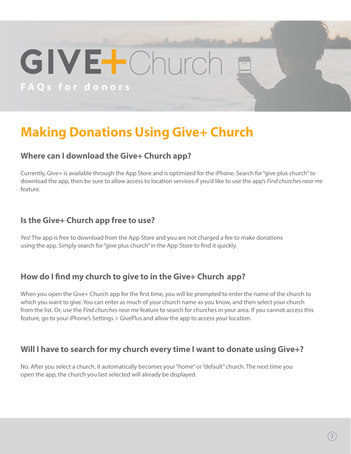# GIVELChurc **FAQs for donors**

### **Making Donations Using Give+ Church**

#### **Where can I download the Give+ Church app?**

Currently, Give+ is available through the App Store and is optimized for the iPhone. Search for "give plus church" to download the app, then be sure to allow access to location services if you'd like to use the app's *Find churches near me* feature.

#### **Is the Give+ Church app free to use?**

Yes! The app is free to download from the App Store and you are not charged a fee to make donations using the app. Simply search for "give plus church" in the App Store to find it quickly.

#### **How do I find my church to give to in the Give+ Church app?**

When you open the Give+ Church app for the first time, you will be prompted to enter the name of the church to which you want to give. You can enter as much of your church name as you know, and then select your church from the list. Or, use the *Find churches near me* feature to search for churches in your area. If you cannot access this feature, go to your iPhone's Settings > GivePlus and allow the app to access your location.

#### **Will I have to search for my church every time I want to donate using Give+?**

No. After you select a church, it automatically becomes your "home" or "default" church. The next time you open the app, the church you last selected will already be displayed.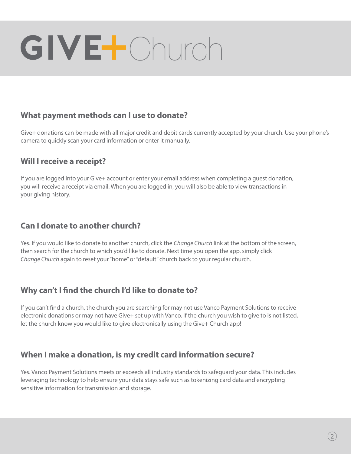## GIVE-Church

#### **What payment methods can I use to donate?**

Give+ donations can be made with all major credit and debit cards currently accepted by your church. Use your phone's camera to quickly scan your card information or enter it manually.

#### **Will I receive a receipt?**

If you are logged into your Give+ account or enter your email address when completing a guest donation, you will receive a receipt via email. When you are logged in, you will also be able to view transactions in your giving history.

#### **Can I donate to another church?**

Yes. If you would like to donate to another church, click the *Change Church* link at the bottom of the screen, then search for the church to which you'd like to donate. Next time you open the app, simply click *Change Church* again to reset your "home" or "default" church back to your regular church.

#### **Why can't I find the church I'd like to donate to?**

If you can't find a church, the church you are searching for may not use Vanco Payment Solutions to receive electronic donations or may not have Give+ set up with Vanco. If the church you wish to give to is not listed, let the church know you would like to give electronically using the Give+ Church app!

#### **When I make a donation, is my credit card information secure?**

Yes. Vanco Payment Solutions meets or exceeds all industry standards to safeguard your data. This includes leveraging technology to help ensure your data stays safe such as tokenizing card data and encrypting sensitive information for transmission and storage.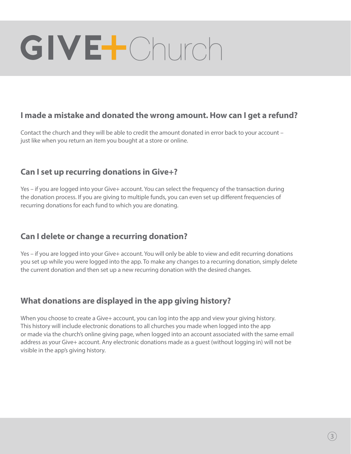### GIVELONurch

#### **I made a mistake and donated the wrong amount. How can I get a refund?**

Contact the church and they will be able to credit the amount donated in error back to your account – just like when you return an item you bought at a store or online.

#### **Can I set up recurring donations in Give+?**

Yes – if you are logged into your Give+ account. You can select the frequency of the transaction during the donation process. If you are giving to multiple funds, you can even set up different frequencies of recurring donations for each fund to which you are donating.

#### **Can I delete or change a recurring donation?**

Yes – if you are logged into your Give+ account. You will only be able to view and edit recurring donations you set up while you were logged into the app. To make any changes to a recurring donation, simply delete the current donation and then set up a new recurring donation with the desired changes.

#### **What donations are displayed in the app giving history?**

When you choose to create a Give+ account, you can log into the app and view your giving history. This history will include electronic donations to all churches you made when logged into the app or made via the church's online giving page, when logged into an account associated with the same email address as your Give+ account. Any electronic donations made as a guest (without logging in) will not be visible in the app's giving history.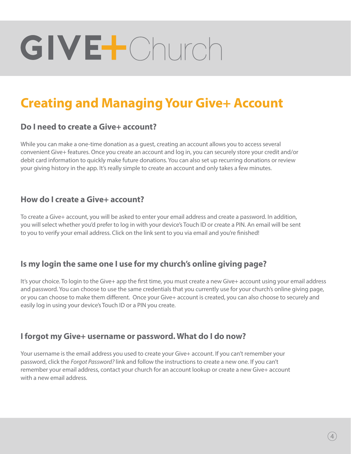## GIVELONurch

### **Creating and Managing Your Give+ Account**

#### **Do I need to create a Give+ account?**

While you can make a one-time donation as a guest, creating an account allows you to access several convenient Give+ features. Once you create an account and log in, you can securely store your credit and/or debit card information to quickly make future donations. You can also set up recurring donations or review your giving history in the app. It's really simple to create an account and only takes a few minutes.

#### **How do I create a Give+ account?**

To create a Give+ account, you will be asked to enter your email address and create a password. In addition, you will select whether you'd prefer to log in with your device's Touch ID or create a PIN. An email will be sent to you to verify your email address. Click on the link sent to you via email and you're finished!

#### **Is my login the same one I use for my church's online giving page?**

It's your choice. To login to the Give+ app the first time, you must create a new Give+ account using your email address and password. You can choose to use the same credentials that you currently use for your church's online giving page, or you can choose to make them different. Once your Give+ account is created, you can also choose to securely and easily log in using your device's Touch ID or a PIN you create.

#### **I forgot my Give+ username or password. What do I do now?**

Your username is the email address you used to create your Give+ account. If you can't remember your password, click the *Forgot Password?* link and follow the instructions to create a new one. If you can't remember your email address, contact your church for an account lookup or create a new Give+ account with a new email address.